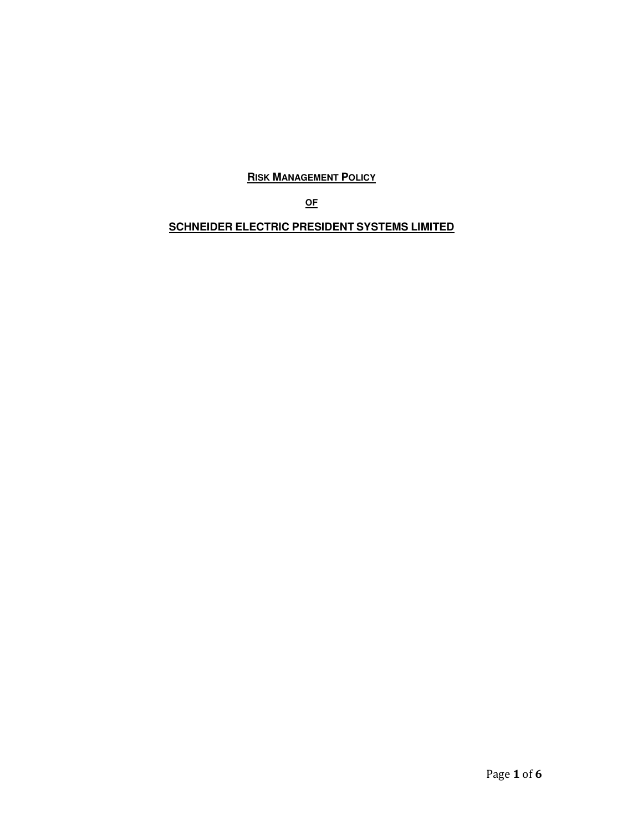**RISK MANAGEMENT POLICY** 

**OF**

**SCHNEIDER ELECTRIC PRESIDENT SYSTEMS LIMITED**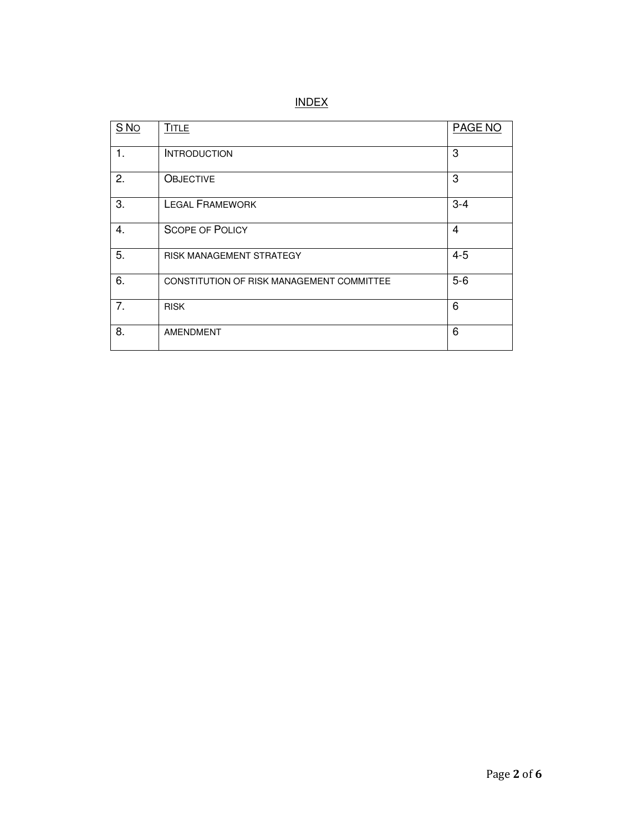| S <sub>No</sub> | <b>TITLE</b>                              | PAGE NO |
|-----------------|-------------------------------------------|---------|
| 1.              | <b>INTRODUCTION</b>                       | 3       |
| 2.              | <b>OBJECTIVE</b>                          | 3       |
| 3.              | <b>LEGAL FRAMEWORK</b>                    | $3 - 4$ |
| 4.              | <b>SCOPE OF POLICY</b>                    | 4       |
| 5.              | <b>RISK MANAGEMENT STRATEGY</b>           | $4 - 5$ |
| 6.              | CONSTITUTION OF RISK MANAGEMENT COMMITTEE | $5-6$   |
| 7.              | <b>RISK</b>                               | 6       |
| 8.              | <b>AMENDMENT</b>                          | 6       |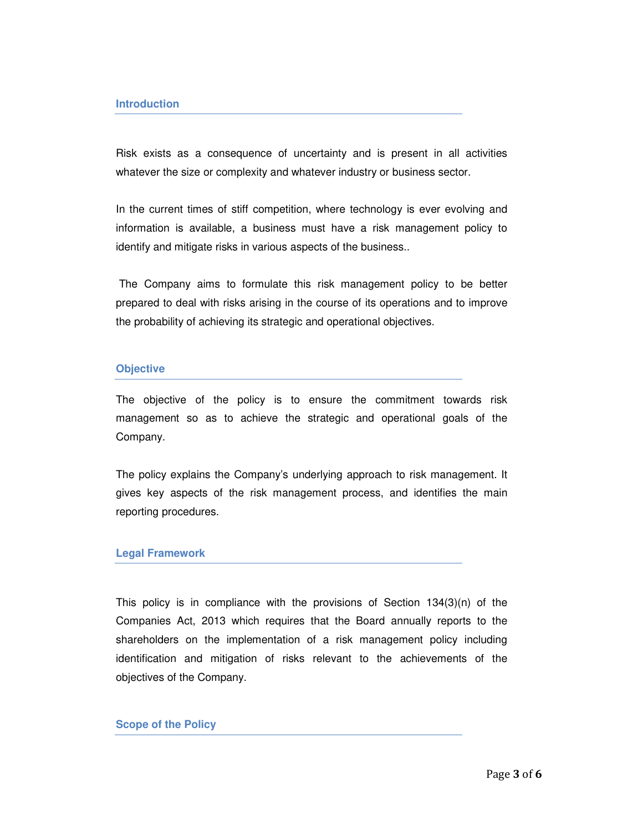Risk exists as a consequence of uncertainty and is present in all activities whatever the size or complexity and whatever industry or business sector.

In the current times of stiff competition, where technology is ever evolving and information is available, a business must have a risk management policy to identify and mitigate risks in various aspects of the business..

 The Company aims to formulate this risk management policy to be better prepared to deal with risks arising in the course of its operations and to improve the probability of achieving its strategic and operational objectives.

#### **Objective**

The objective of the policy is to ensure the commitment towards risk management so as to achieve the strategic and operational goals of the Company.

The policy explains the Company's underlying approach to risk management. It gives key aspects of the risk management process, and identifies the main reporting procedures.

#### **Legal Framework**

This policy is in compliance with the provisions of Section 134(3)(n) of the Companies Act, 2013 which requires that the Board annually reports to the shareholders on the implementation of a risk management policy including identification and mitigation of risks relevant to the achievements of the objectives of the Company.

### **Scope of the Policy**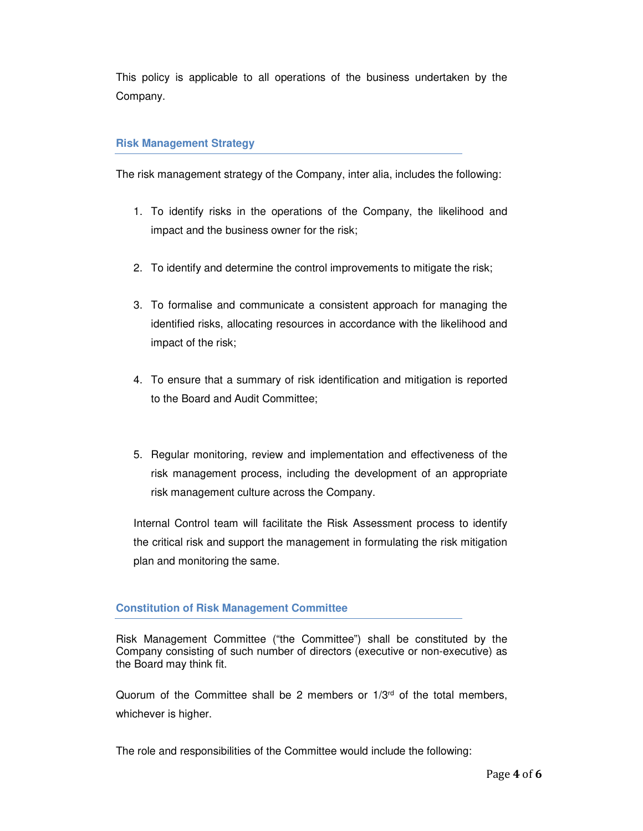This policy is applicable to all operations of the business undertaken by the Company.

## **Risk Management Strategy**

The risk management strategy of the Company, inter alia, includes the following:

- 1. To identify risks in the operations of the Company, the likelihood and impact and the business owner for the risk;
- 2. To identify and determine the control improvements to mitigate the risk;
- 3. To formalise and communicate a consistent approach for managing the identified risks, allocating resources in accordance with the likelihood and impact of the risk;
- 4. To ensure that a summary of risk identification and mitigation is reported to the Board and Audit Committee;
- 5. Regular monitoring, review and implementation and effectiveness of the risk management process, including the development of an appropriate risk management culture across the Company.

Internal Control team will facilitate the Risk Assessment process to identify the critical risk and support the management in formulating the risk mitigation plan and monitoring the same.

# **Constitution of Risk Management Committee**

Risk Management Committee ("the Committee") shall be constituted by the Company consisting of such number of directors (executive or non-executive) as the Board may think fit.

Quorum of the Committee shall be 2 members or  $1/3<sup>rd</sup>$  of the total members, whichever is higher.

The role and responsibilities of the Committee would include the following: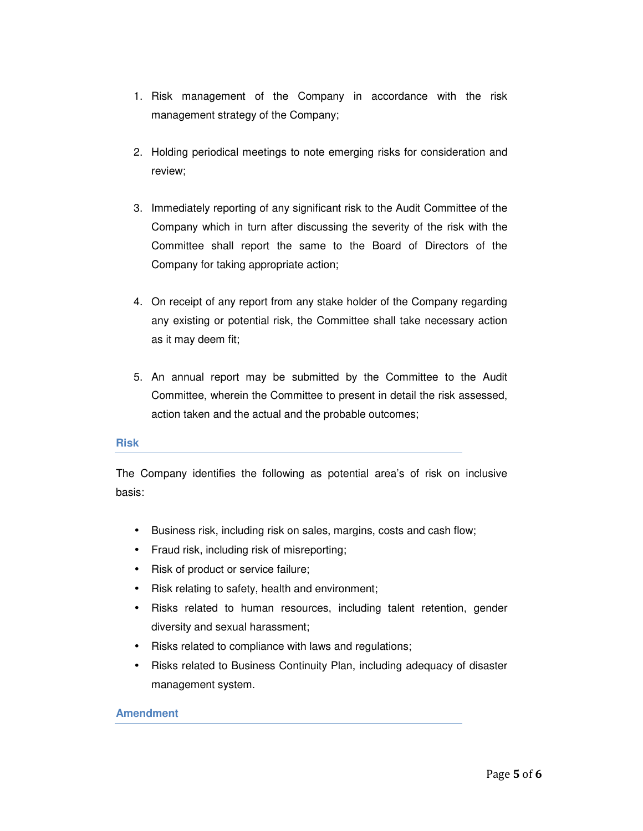- 1. Risk management of the Company in accordance with the risk management strategy of the Company;
- 2. Holding periodical meetings to note emerging risks for consideration and review;
- 3. Immediately reporting of any significant risk to the Audit Committee of the Company which in turn after discussing the severity of the risk with the Committee shall report the same to the Board of Directors of the Company for taking appropriate action;
- 4. On receipt of any report from any stake holder of the Company regarding any existing or potential risk, the Committee shall take necessary action as it may deem fit;
- 5. An annual report may be submitted by the Committee to the Audit Committee, wherein the Committee to present in detail the risk assessed, action taken and the actual and the probable outcomes;

### **Risk**

The Company identifies the following as potential area's of risk on inclusive basis:

- Business risk, including risk on sales, margins, costs and cash flow;
- Fraud risk, including risk of misreporting;
- Risk of product or service failure;
- Risk relating to safety, health and environment;
- Risks related to human resources, including talent retention, gender diversity and sexual harassment;
- Risks related to compliance with laws and regulations;
- Risks related to Business Continuity Plan, including adequacy of disaster management system.

## **Amendment**